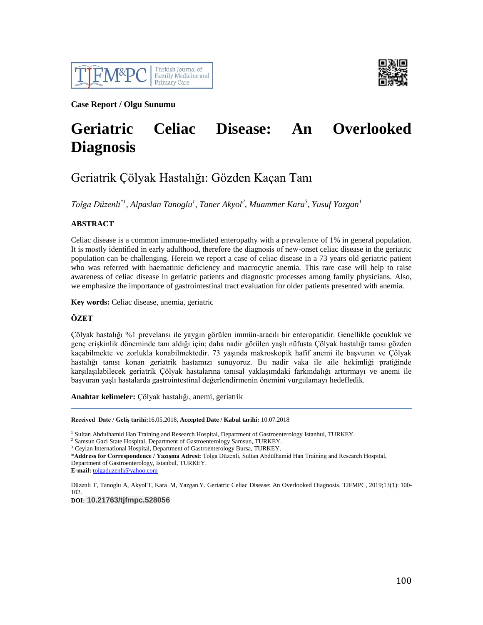



**Case Report / Olgu Sunumu**

# **Geriatric Celiac Disease: An Overlooked Diagnosis**

# Geriatrik Çölyak Hastalığı: Gözden Kaçan Tanı

*Tolga Düzenli\*1, Alpaslan Tanoglu<sup>1</sup> , Taner Akyol<sup>2</sup> , Muammer Kara<sup>3</sup> , Yusuf Yazgan<sup>1</sup>*

## **ABSTRACT**

Celiac disease is a common immune-mediated enteropathy with a prevalence of 1% in general population. It is mostly identified in early adulthood, therefore the diagnosis of new-onset celiac disease in the geriatric population can be challenging. Herein we report a case of celiac disease in a 73 years old geriatric patient who was referred with haematinic deficiency and macrocytic anemia. This rare case will help to raise awareness of celiac disease in geriatric patients and diagnostic processes among family physicians. Also, we emphasize the importance of gastrointestinal tract evaluation for older patients presented with anemia.

**Key words:** Celiac disease, anemia, geriatric

## **ÖZET**

Çölyak hastalığı %1 prevelansı ile yaygın görülen immün-aracılı bir enteropatidir. Genellikle çocukluk ve genç erişkinlik döneminde tanı aldığı için; daha nadir görülen yaşlı nüfusta Çölyak hastalığı tanısı gözden kaçabilmekte ve zorlukla konabilmektedir. 73 yaşında makroskopik hafif anemi ile başvuran ve Çölyak hastalığı tanısı konan geriatrik hastamızı sunuyoruz. Bu nadir vaka ile aile hekimliği pratiğinde karşılaşılabilecek geriatrik Çölyak hastalarına tanısal yaklaşımdaki farkındalığı arttırmayı ve anemi ile başvuran yaşlı hastalarda gastrointestinal değerlendirmenin önemini vurgulamayı hedefledik.

**Anahtar kelimeler:** Çölyak hastalığı, anemi, geriatrik

**Received Date / Geliş tarihi:**16.05.2018, **Accepted Date / Kabul tarihi:** 10.07.2018

<sup>1</sup> Sultan Abdulhamid Han Training and Research Hospital, Department of Gastroenterology Istanbul, TURKEY.

<sup>2</sup> Samsun Gazi State Hospital, Department of Gastroenterology Samsun, TURKEY.

<sup>3</sup> Ceylan International Hospital, Department of Gastroenterology Bursa, TURKEY.

\***Address for Correspondence / Yazışma Adresi:** Tolga Düzenli, Sultan Abdülhamid Han Training and Research Hospital, Department of Gastroenterology, Istanbul, TURKEY.

**E-mail:** [tolgaduzenli@yahoo.com](mailto:tolgaduzenli@yahoo.com)

Düzenli T, Tanoglu A, Akyol T, Kara M, Yazgan Y. Geriatric Celiac Disease: An Overlooked Diagnosis. TJFMPC, 2019;13(1): 100- 102.

**DOI: 10.21763/tjfmpc.528056**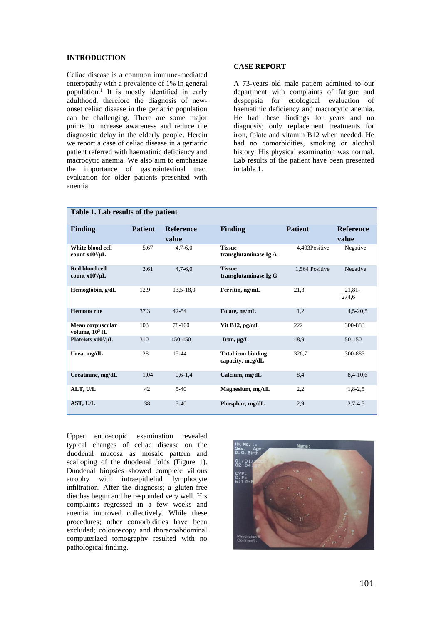#### **INTRODUCTION**

Celiac disease is a common immune-mediated enteropathy with a prevalence of 1% in general population.<sup>1</sup> It is mostly identified in early adulthood, therefore the diagnosis of newonset celiac disease in the geriatric population can be challenging. There are some major points to increase awareness and reduce the diagnostic delay in the elderly people. Herein we report a case of celiac disease in a geriatric patient referred with haematinic deficiency and macrocytic anemia. We also aim to emphasize the importance of gastrointestinal tract evaluation for older patients presented with anemia.

#### **CASE REPORT**

A 73-years old male patient admitted to our department with complaints of fatigue and dyspepsia for etiological evaluation of haematinic deficiency and macrocytic anemia. He had these findings for years and no diagnosis; only replacement treatments for iron, folate and vitamin B12 when needed. He had no comorbidities, smoking or alcohol history. His physical examination was normal. Lab results of the patient have been presented in table 1.

| <b>Finding</b>                          | <b>Patient</b> | <b>Reference</b><br>value | <b>Finding</b>                                | <b>Patient</b> | <b>Reference</b><br>value |
|-----------------------------------------|----------------|---------------------------|-----------------------------------------------|----------------|---------------------------|
| White blood cell<br>count $x10^3/\mu L$ | 5,67           | $4,7-6,0$                 | <b>Tissue</b><br>transglutaminase Ig A        | 4,403Positive  | Negative                  |
| Red blood cell<br>count $x10^6/\mu L$   | 3,61           | $4,7-6,0$                 | <b>Tissue</b><br>transglutaminase Ig G        | 1,564 Positive | Negative                  |
| Hemoglobin, g/dL                        | 12,9           | $13,5-18,0$               | Ferritin, ng/mL                               | 21,3           | $21.81 -$<br>274.6        |
| Hemotocrite                             | 37,3           | $42 - 54$                 | Folate, ng/mL                                 | 1,2            | $4,5-20,5$                |
| Mean corpuscular<br>volume, $10^3$ fL   | 103            | 78-100                    | Vit B12, pg/mL                                | 222            | 300-883                   |
| Platelets $x10^3/\mu L$                 | 310            | 150-450                   | Iron, $\mu$ g/L                               | 48.9           | 50-150                    |
| Urea, mg/dL                             | 28             | $15 - 44$                 | <b>Total iron binding</b><br>capacity, mcg/dL | 326,7          | 300-883                   |
| Creatinine, mg/dL                       | 1,04           | $0,6-1,4$                 | Calcium, mg/dL                                | 8,4            | $8,4-10,6$                |
| ALT, U/L                                | 42             | $5-40$                    | Magnesium, mg/dL                              | 2,2            | $1,8-2,5$                 |
| AST, U/L                                | 38             | $5-40$                    | Phosphor, mg/dL                               | 2,9            | $2,7-4,5$                 |

# **Table 1. Lab results of the patient**

Upper endoscopic examination revealed typical changes of celiac disease on the duodenal mucosa as mosaic pattern and scalloping of the duodenal folds (Figure 1). Duodenal biopsies showed complete villous atrophy with intraepithelial lymphocyte infiltration. After the diagnosis; a gluten-free diet has begun and he responded very well. His complaints regressed in a few weeks and anemia improved collectively. While these procedures; other comorbidities have been excluded; colonoscopy and thoracoabdominal computerized tomography resulted with no pathological finding.